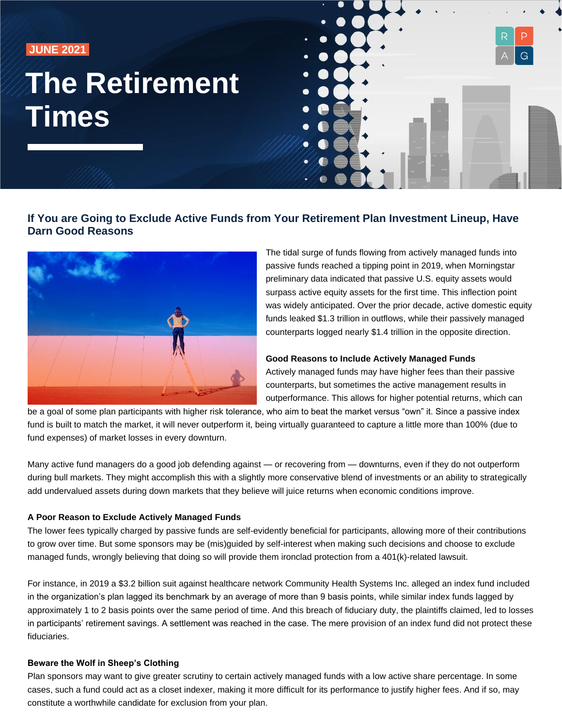**JUNE 2021** 

# **The Retirement Times**



# **If You are Going to Exclude Active Funds from Your Retirement Plan Investment Lineup, Have Darn Good Reasons**



The tidal surge of funds flowing from actively managed funds into passive funds reached a tipping point in 2019, when Morningstar preliminary data indicated that passive U.S. equity assets would surpass active equity assets for the first time. This inflection point was widely anticipated. Over the prior decade, active domestic equity funds leaked \$1.3 trillion in outflows, while their passively managed counterparts logged nearly \$1.4 trillion in the opposite direction.

### **Good Reasons to Include Actively Managed Funds**

Actively managed funds may have higher fees than their passive counterparts, but sometimes the active management results in outperformance. This allows for higher potential returns, which can

be a goal of some plan participants with higher risk tolerance, who aim to beat the market versus "own" it. Since a passive index fund is built to match the market, it will never outperform it, being virtually guaranteed to capture a little more than 100% (due to fund expenses) of market losses in every downturn.

Many active fund managers do a good job defending against — or recovering from — downturns, even if they do not outperform during bull markets. They might accomplish this with a slightly more conservative blend of investments or an ability to strategically add undervalued assets during down markets that they believe will juice returns when economic conditions improve.

### **A Poor Reason to Exclude Actively Managed Funds**

The lower fees typically charged by passive funds are self-evidently beneficial for participants, allowing more of their contributions to grow over time. But some sponsors may be (mis)guided by self-interest when making such decisions and choose to exclude managed funds, wrongly believing that doing so will provide them ironclad protection from a 401(k)-related lawsuit.

For instance, in 2019 a \$3.2 billion suit against healthcare network Community Health Systems Inc. alleged an index fund included in the organization's plan lagged its benchmark by an average of more than 9 basis points, while similar index funds lagged by approximately 1 to 2 basis points over the same period of time. And this breach of fiduciary duty, the plaintiffs claimed, led to losses in participants' retirement savings. A settlement was reached in the case. The mere provision of an index fund did not protect these fiduciaries.

### **Beware the Wolf in Sheep's Clothing**

Plan sponsors may want to give greater scrutiny to certain actively managed funds with a low active share percentage. In some cases, such a fund could act as a closet indexer, making it more difficult for its performance to justify higher fees. And if so, may constitute a worthwhile candidate for exclusion from your plan.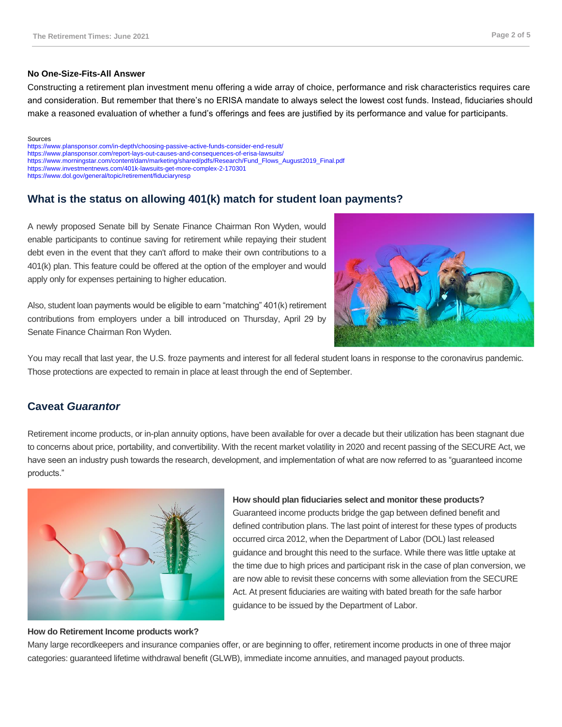### **No One-Size-Fits-All Answer**

Constructing a retirement plan investment menu offering a wide array of choice, performance and risk characteristics requires care and consideration. But remember that there's no ERISA mandate to always select the lowest cost funds. Instead, fiduciaries should make a reasoned evaluation of whether a fund's offerings and fees are justified by its performance and value for participants.

#### Sources

<https://www.plansponsor.com/in-depth/choosing-passive-active-funds-consider-end-result/> <https://www.plansponsor.com/report-lays-out-causes-and-consequences-of-erisa-lawsuits/> [https://www.morningstar.com/content/dam/marketing/shared/pdfs/Research/Fund\\_Flows\\_August2019\\_Final.pdf](https://www.morningstar.com/content/dam/marketing/shared/pdfs/Research/Fund_Flows_August2019_Final.pdf) <https://www.investmentnews.com/401k-lawsuits-get-more-complex-2-170301> <https://www.dol.gov/general/topic/retirement/fiduciaryresp>

# **What is the status on allowing 401(k) match for student loan payments?**

A newly proposed Senate bill by Senate Finance Chairman Ron Wyden, would enable participants to continue saving for retirement while repaying their student debt even in the event that they can't afford to make their own contributions to a 401(k) plan. This feature could be offered at the option of the employer and would apply only for expenses pertaining to higher education.

Also, student loan payments would be eligible to earn "matching" 401(k) retirement contributions from employers under a bill introduced on Thursday, April 29 by Senate Finance Chairman Ron Wyden.



You may recall that last year, the U.S. froze payments and interest for all federal student loans in response to the coronavirus pandemic. Those protections are expected to remain in place at least through the end of September.

# **Caveat** *Guarantor*

Retirement income products, or in-plan annuity options, have been available for over a decade but their utilization has been stagnant due to concerns about price, portability, and convertibility. With the recent market volatility in 2020 and recent passing of the SECURE Act, we have seen an industry push towards the research, development, and implementation of what are now referred to as "guaranteed income products."



# **How should plan fiduciaries select and monitor these products?**

Guaranteed income products bridge the gap between defined benefit and defined contribution plans. The last point of interest for these types of products occurred circa 2012, when the Department of Labor (DOL) last released guidance and brought this need to the surface. While there was little uptake at the time due to high prices and participant risk in the case of plan conversion, we are now able to revisit these concerns with some alleviation from the SECURE Act. At present fiduciaries are waiting with bated breath for the safe harbor guidance to be issued by the Department of Labor.

### **How do Retirement Income products work?**

Many large recordkeepers and insurance companies offer, or are beginning to offer, retirement income products in one of three major categories: guaranteed lifetime withdrawal benefit (GLWB), immediate income annuities, and managed payout products.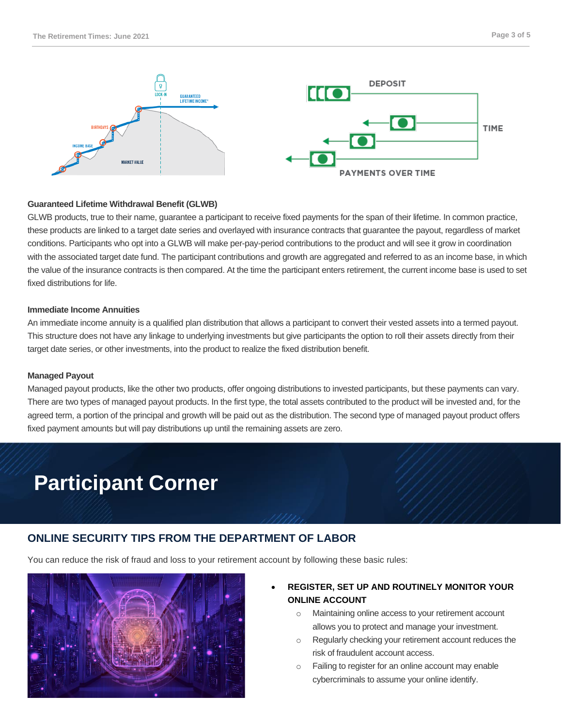

### **Guaranteed Lifetime Withdrawal Benefit (GLWB)**

GLWB products, true to their name, guarantee a participant to receive fixed payments for the span of their lifetime. In common practice, these products are linked to a target date series and overlayed with insurance contracts that guarantee the payout, regardless of market conditions. Participants who opt into a GLWB will make per-pay-period contributions to the product and will see it grow in coordination with the associated target date fund. The participant contributions and growth are aggregated and referred to as an income base, in which the value of the insurance contracts is then compared. At the time the participant enters retirement, the current income base is used to set fixed distributions for life.

### **Immediate Income Annuities**

An immediate income annuity is a qualified plan distribution that allows a participant to convert their vested assets into a termed payout. This structure does not have any linkage to underlying investments but give participants the option to roll their assets directly from their target date series, or other investments, into the product to realize the fixed distribution benefit.

### **Managed Payout**

Managed payout products, like the other two products, offer ongoing distributions to invested participants, but these payments can vary. There are two types of managed payout products. In the first type, the total assets contributed to the product will be invested and, for the agreed term, a portion of the principal and growth will be paid out as the distribution. The second type of managed payout product offers fixed payment amounts but will pay distributions up until the remaining assets are zero.

# **Participant Corner**

# **ONLINE SECURITY TIPS FROM THE DEPARTMENT OF LABOR**

You can reduce the risk of fraud and loss to your retirement account by following these basic rules:



# • **REGISTER, SET UP AND ROUTINELY MONITOR YOUR ONLINE ACCOUNT**

- o Maintaining online access to your retirement account allows you to protect and manage your investment.
- o Regularly checking your retirement account reduces the risk of fraudulent account access.
- o Failing to register for an online account may enable cybercriminals to assume your online identify.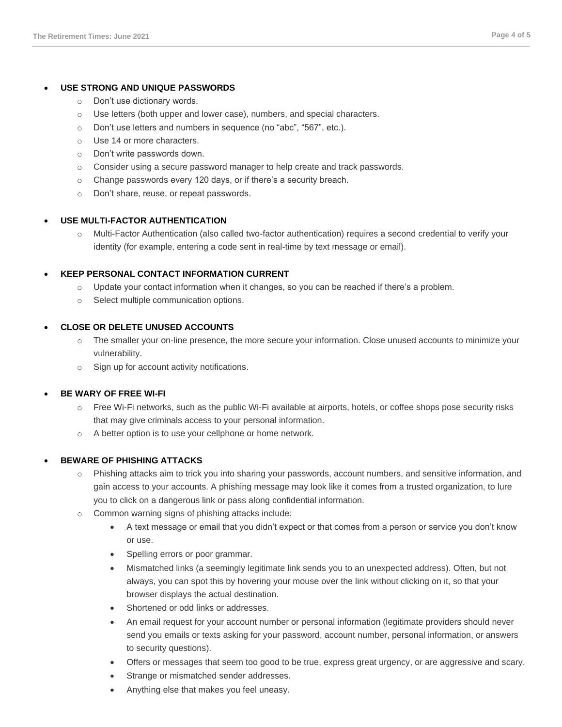### • **USE STRONG AND UNIQUE PASSWORDS**

- o Don't use dictionary words.
- o Use letters (both upper and lower case), numbers, and special characters.
- o Don't use letters and numbers in sequence (no "abc", "567", etc.).
- o Use 14 or more characters.
- o Don't write passwords down.
- o Consider using a secure password manager to help create and track passwords.
- o Change passwords every 120 days, or if there's a security breach.
- o Don't share, reuse, or repeat passwords.

### • **USE MULTI-FACTOR AUTHENTICATION**

o Multi-Factor Authentication (also called two-factor authentication) requires a second credential to verify your identity (for example, entering a code sent in real-time by text message or email).

### • **KEEP PERSONAL CONTACT INFORMATION CURRENT**

- o Update your contact information when it changes, so you can be reached if there's a problem.
- o Select multiple communication options.

### • **CLOSE OR DELETE UNUSED ACCOUNTS**

- o The smaller your on-line presence, the more secure your information. Close unused accounts to minimize your vulnerability.
- o Sign up for account activity notifications.

### • **BE WARY OF FREE WI-FI**

- $\circ$  Free Wi-Fi networks, such as the public Wi-Fi available at airports, hotels, or coffee shops pose security risks that may give criminals access to your personal information.
- o A better option is to use your cellphone or home network.

### • **BEWARE OF PHISHING ATTACKS**

- Phishing attacks aim to trick you into sharing your passwords, account numbers, and sensitive information, and gain access to your accounts. A phishing message may look like it comes from a trusted organization, to lure you to click on a dangerous link or pass along confidential information.
- o Common warning signs of phishing attacks include:
	- A text message or email that you didn't expect or that comes from a person or service you don't know or use.
	- Spelling errors or poor grammar.
	- Mismatched links (a seemingly legitimate link sends you to an unexpected address). Often, but not always, you can spot this by hovering your mouse over the link without clicking on it, so that your browser displays the actual destination.
	- Shortened or odd links or addresses.
	- An email request for your account number or personal information (legitimate providers should never send you emails or texts asking for your password, account number, personal information, or answers to security questions).
	- Offers or messages that seem too good to be true, express great urgency, or are aggressive and scary.
	- Strange or mismatched sender addresses.
	- Anything else that makes you feel uneasy.